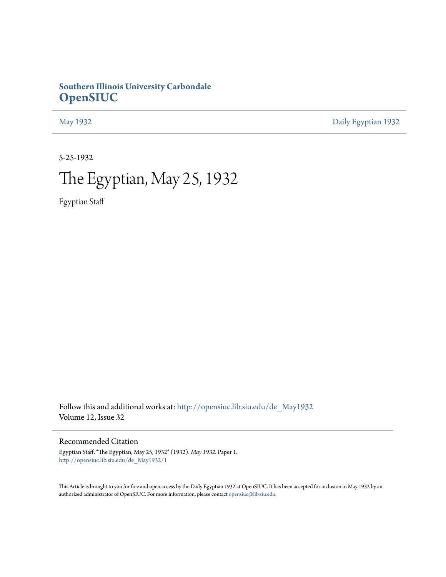## **Southern Illinois University Carbondale [OpenSIUC](http://opensiuc.lib.siu.edu?utm_source=opensiuc.lib.siu.edu%2Fde_May1932%2F1&utm_medium=PDF&utm_campaign=PDFCoverPages)**

[May 1932](http://opensiuc.lib.siu.edu/de_May1932?utm_source=opensiuc.lib.siu.edu%2Fde_May1932%2F1&utm_medium=PDF&utm_campaign=PDFCoverPages) [Daily Egyptian 1932](http://opensiuc.lib.siu.edu/de_1932?utm_source=opensiuc.lib.siu.edu%2Fde_May1932%2F1&utm_medium=PDF&utm_campaign=PDFCoverPages)

5-25-1932

# The Egyptian, May 25, 1932

Egyptian Staff

Follow this and additional works at: [http://opensiuc.lib.siu.edu/de\\_May1932](http://opensiuc.lib.siu.edu/de_May1932?utm_source=opensiuc.lib.siu.edu%2Fde_May1932%2F1&utm_medium=PDF&utm_campaign=PDFCoverPages) Volume 12, Issue 32

Recommended Citation

Egyptian Staff, "The Egyptian, May 25, 1932" (1932). *May 1932.* Paper 1. [http://opensiuc.lib.siu.edu/de\\_May1932/1](http://opensiuc.lib.siu.edu/de_May1932/1?utm_source=opensiuc.lib.siu.edu%2Fde_May1932%2F1&utm_medium=PDF&utm_campaign=PDFCoverPages)

This Article is brought to you for free and open access by the Daily Egyptian 1932 at OpenSIUC. It has been accepted for inclusion in May 1932 by an authorized administrator of OpenSIUC. For more information, please contact [opensiuc@lib.siu.edu](mailto:opensiuc@lib.siu.edu).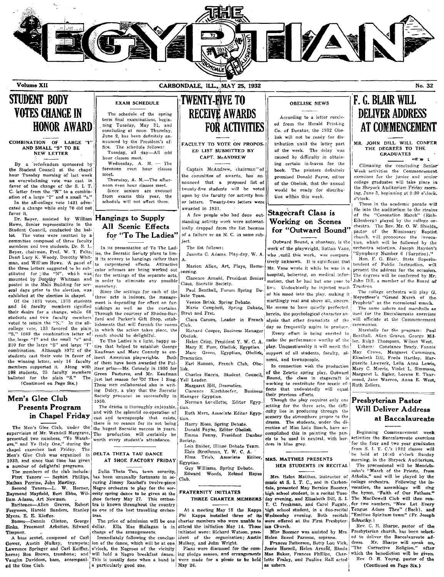

Volume XII

# **STUDENT BODY VOTES CHANGE IN HONOR AWARD**

#### COMBINATION OF LARGE "I" AND SMALL "S" TO BE **NEW LETTER**

By a referendum sponsored by the Student Council at the chape hour Tuesday morning of last week an overwhelming vote was cast in favor of the change of the S. I. T.<br>C. letter from the "N" to a combination of a large "I" and a small "s." In the all-college vote 1431 advocated a change while only 70 did not

favor it. Dr. Beyer, assisted by William Hangings to Supply Howe, Senior representative in the

Student Council, conducted the bal-The votes were counted by a lot. committee composed of three faculty members and two students. Dr. R. L. Beyer, chairman, Prof. W. T. Felts, Dean Lucy K. Woody, Dorothy Whitman, and William Howe. A panel of the three letters suggested to be sub-<br>stituted for the "N", which was mounted by Dorothy Whitman and posted in the Main Building for several days prior to the election, was exhibited at the election in chapel.

Of the 1431 votes, 1375 students and 56 faculty members signified their desire for a change, while 68 students and two faculty members voted to retain the "N." In the allcollege vote, 133 favored the plain "S," 1088 the combination letter of the large "I" and the small "s" and 210 for the large "S" and large "I" combination. Although 1072 of the students cast their vote in favor of the winning letter, only 16 faculty members supported it. Along with 108 students, 25 faculty members<br>balloted for the plain "S." The (Continued on Page Six.)

#### Men's Glee Club **Presents Program** in Chapel Friday

The Men's Glee Club, under the supervision of Mr. Wendell Margrave, presented two numbers, "Ye Watch-lers," and Ye Holy One," during the chapel exercises last Friday. The Men's Glee Club was organized in DELTA THETA TAU DANCE 1930, and since that time has given a number of delightful programs

The members of the club include: First Tenors' - Seybirt Phillips,

Nathan Perrine, John Martiny. Second Tenors-L. W. Horner,<br>Raymond Mayfield, Bert Ebbs, William Adams, Art Newman.

Baritones-Allen Graves, Robert Ferguson, Harold Sanders, Stanley Myers, E. E. Kieffer.

Basses-Dennis Clinton, George Sinks, Freemont Arbeiter, Edward dollar. Ella Mae Hallagan is in Timpner.

A bass sextet, composed of Carl<br>Gower, Austin Mulkey, trumpets; Lawrence Springer and Carl Keiffer, horns; Bon Brown, trombone; and Vaughn Davidson, bass, accompani- This is usually done when a band is ed the Glee Club.

#### CARBONDALE, ILL., MAY 25, 1932

**EXAM SCHEDULE** 

term final examinations, begin-

ning Tuesday, May 31, and<br>concluding at noon Thursday,

June 2, has been definitely an-

nounced by the President's of-

hour classes meet.

The schedule follows:

Tuesday, all day---All odd

Wednesday, A. M.  $-$  The

Thursday, A. M.-The after-

Since seniors are excused

from exams this year, the

schedule will not affect them.

All Scenic Effects

for "To The Ladies"

In its presentation of To The Lad-

carpentered effects. Attractive

ies, the Socratic Society plans to lim-

it its scenery to hangings rather than

color schemes are being worked out

for the settings of the separate acts,

in order to eliminate any possible

Since the settings for each of the

three acts is indoors, the manage-

ment is depending for effect on fur-

nishings as well as the curtains.

Through the courtesy of Rhodes-Bur-

ford and Parker's Gift Shop, estab

lishments that will furnish the rooms

in which the action takes place, the

To The Ladies is a light, happy sa-

Both

tire that helped to establish George

Kaufman and Marc Connely as em-

of them have been awarded the Pul

itzer prize-Mr. Connely in 1930 for

Green Pastures, and Mr. Kaufman

just last season for 'Of Thee I Sing.

These men collaborated also in writ-

ing Dulcy, a play that the Socratic

and with the splendid co-operation of

there is no reason for its not being

the hugest Socratic success in years.

The production will certainly be

has been unusually fortunate in se-

curing Jimmy Raschel's twelve-piece

Negro orchestra to play for the sorority spring dance to be given at the shoe factory May 27. This orches-

tra is known throughout the country

as one of the best travelling orches-

will hold a Negro breakfast dance.

charge of the arrangements.

a particularly good one.

worth every student's attendance.

result should be delightful.

inent American playwrights.

forenoon even hour classes

noon even hour classes meet.

fice.

meet.

to

monotony.

1930.

tras.

The schedule of the spring

## **TWENTY-FIVE TO RECEIVE AWARDS FOR ACTIVITIES**

FACULTY TO VOTE ON PROPOS-ED LIST SUBMITTED BY CAPT. McANDREW

Captain McAndrew, chairman" of the committee of awards, has announced that a proposed list of twenty-five students will be voted upon by the faculty for activity honor letters. Twenty-two letters were awarded in 1931.

A few people who had done outstanding activity work were automatically dropped from the list because of a failure or an N. C. in some subject.

The list follows:

- Juanita C. Adams. Play-day, W. A
- Marion Allen, Art, Plays, Romecoming.
- Clarence Arnold, President Senior Class, Socratic Society.
- Paul Benthall, Forum Spring Debate Team.
- Venice Brink, Spring Debate. Marie Campbell, Spring Debate, Strut and Fret.
- Club.
- Richard Cooper, Business Manager Obelisk.
- Helen Crisp, President Y. W. C. A. Mary E. Furr, Obelisk, Egyptian. Marc Green, Egyptian, Obelisk, Dramatics.
- Earl Hanson, French Club, Obelisk.
- Charles Harris, Student Council, Yell Leader.
- Margaret Hill, Dramatics. Clarence Kirchhoefer, Business
- Society procuced so successfully in Manager Egyptian. Norman Lovellette, Editor Egyp The drama is thoroughly enjoyable.
- tian. Ruth Merz, Associate Editor Egypcast and townspeople that exists. tian.
	- Harry Moss, Spring Debate. Donald Payne, Editor Obelisk.
	- Emma Penny, President Dunbar Society. Lois Snider, Illinae Debate Team.
	- Elsie Strothman, Y. W. C. A. Elma Trieb, Associate Editor,

AT SHOE FACTORY FRIDAY Egyptian. Delta Theta Tau, town sorority,

Guy Williams, Spring Debate. Edward Woods, Roland Hayes Club.

#### **FRATERNITY INITIATES** THREE CHARTER MEMBERS

At a meeting May 18 the Kappa Phi Kappa installed three of its charter members who were unable to

The price of admission will be one attend the initiation May 14. Those initiated were: Richard Watson, president of the organization: Austin Immediately following the conclus-Mulkey, and John Wright. ion of the dance, which will be at one o'clock, the Negroes of the vicinity

Plans were discussed for the coming pledge season, and arrangements were made for a picnic to be held May 26.

#### **OBELISK NEWS**

According to a letter received from the Herald Printing Co. of Decatur, the 1932 Obelisk will not be ready for distribution until the latter part of the week. The delay was caused by difficulty in obtaining certain in-leaves for the book. The printers definitely promised Donald Payne, editor of the Obelisk, that the annual would be ready for distribution within this week.

### Stagecraft Class is Working on Scenes for "Outward Bound"

Outward Bound, a phantasy, is the work of the playwright, Sutton Vane, who until this work, was comparatively unknown. It is significant that Mr. Vane wrote it while he was in a hospital, believing, on medical information, that he had but one year to liva. Undoubtedly he injected much of his mood into the play, making it startlingly real and above all, sincere. He seems to have quietly perfected, herein, the psychological character an-Clara Carson, Leader in French alysis that other dramatists of the day so frequently aspire to produce.

> Every effort is being exerted to play. Unquestionably it will merit the support of all students, faculty, alumni, and townspeople.

In connection with the production Bound, the class in stagecraft is working to contribute fine scenic ef- | Ruth Zellers. fects that undoubtedly will equal their previous efforts.

Though the play requires only one setting for the three acts, the difficulty lies in producing through the scenery the atmosphere proper to the drama. The students, under the direction of Miss Lulu Roach, have accomplished this in painting the panels to be used in neutral, with borders in blue grey.

#### MRS. MATTHES PRESENTS HER STUDENTS IN RECITAL

Mrs. Helen Matthes, instructor of music at S. I. T. C., and in Carbondale, presented May Bernice Boomer, high school student, in a recital Tuesday evening, and Elisabeth Dill, S. I. high school student, in a duo-recital Wednesday evening. Both recitals were offered at the First Presbyterian Church.

Miss Boomer was assisted by Mrs. Helen Sneed Parsons, soprano.

Frances Patterson, Betty Lou Vick, Jessie Harrell, Helen Arnold, Rhoda Mae Baker, Frances Phillips, Charlotte Fraley, and Pauline Hall acted as ushers.

# F. G. BLAIR WILL **DELIVER ADDRESS AT COMMENCEMENT**

No. 32

MR. JOHN DILL WILL CONFER THE DEGREES TO THE **GRADUATES**  $\mathbf{1}$  or  $\mathbf{2}$ 

Climaxing the concluding Senior Week activities the Commencement exercises for the junior and senior college graduates will take place in the Shryock Auditorium Friday morning, June 3, beginning at 9:30 o'clock. o'clock.

Those in the academic parade will file into the auditorium to the strains of the "Coronation March" (Rich-Eilenberg) played by the college orchestra. The Rev. Mr. O. W. Shields. pastor of the Missionary Baptist church, will pronounce the invocation, which will be followed by the orchestra selection, Joseph Hayden's 'Symphony Number 6 (Surprise)."

Hon. F. G. Blair, State Superin-<br>tendent of Public Instruction, will present the address for the occasion. The degrees will be conferred by Mr. John Dill, a member of the Board of Trustees.

The college orchestra will play G. Meyerbeer's "Grand March of the Prophets" as the recessional march.

The same ushers and marshalls as used for the Baccalaureate exercises will officiate at the Commencement ceremonies.

Marshalls for the program: Paul Benthall. Allen Graves. George Milmake the performance worthy of the ler, Ralph Thompson, Wilson West. Ushers: Constance Brady, Fannie

May Crowe, Margaret Cummings, Elisabeth Dill, Freda Hartley, Marguerite Lawreck, Lelia Anna Lewis, Mary C. Morris, Violet L. Simmons, of the Zetetic spring play, Outward Margaret L. Sigler, Lorene R. Thurmond, Jane Warren, Anna E. West,

#### Presbyterian Pastor **Will Deliver Address** at Baccalaureate

Beginning Commencement week activities the Baccalanreate exercises for the four and two year graduates from S. I. T. C.'s 1932 classes will be held at 10:45 o'clock Sunday morning, in the Shryock Auditorium.

The processional will be Mendels-<br>sohn's "March of the Priests, from Atholia," and will be played by the college orchestra. Following the invocation, the assemblage will sing the hymn, "Faith of Our Fathers." The MacDowell Club will then ren-T. C. freshman, and Carol Fugate, der two numbers, "Now Let Every Tongue Adore Thee" (Bach), and "Emittee Spiritum tuum" (Fr. Joseph Schuetky.)

Rev. C. N. Sharpe, pastor of the Presbyterian church, has been selected to deliver the Baccalaureate ad-Mr. Sharpe will speak on,<br>Corrective Religion," after dress. "The which the benediction will be given. Rev. O. H. Young, pastor of the (Continued on Page Six.)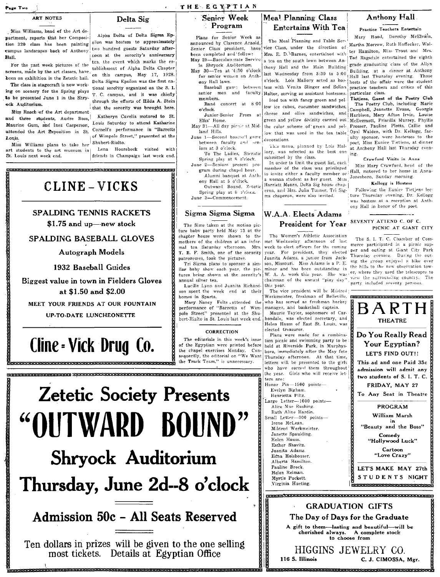Page Two

## ART NOTES

Miss Williams, head of the Art department, reports that her Composition 320 class has been painting campus landscapes hack of Anthony Hall

For the past week pictures of the screens, made by the art classes, have been on exhibition in the Zetetic hall.

The class in stagecraft is now working on scenery for the Spring plays to be presented June 1 in the Shryock Auditorium.

Miss Roach of the Art department and three students. Audre Ross. Maurine Gum, and Inez Casperson, attended the Art Exposition in St. Louis

Miss Williams plans to take her art students to the art museum in St. Louis next week end.

Delta Sig

Alpha Delta of Delta Sigma Epsilon was hostess to approximately two hundred guests Saturday afternoon at the sorority's anniversary tea, the event which marks the establishment of Alpha Delta Chapter on this campus, May 17, 1928. Delta Sigma Epsilon was the first national sorofity organized on the S. L. T. C. campus, and it was chiefly through the efforts of Hilda A. Stein that the sorority was brought here.

Katheryn Cavelia motored to St. Louis Saturday to attend Katharine Cornell's performance in "Barretts of Wimpole Street," presented at the Shubert-Rialto.

Lena Hooreheck visited with friends in Champaign last week end.

# CLINE-VICKS

## SPALDING TENNIS RACKETS

.<br>Manang manang manang manang manang manang manang manang manang manang manang manang manang manang manang manan

\$1.75 and up-new stock

#### SPALDING BASEBALL GLOVES

**Autograph Models** 

#### 1932 Baseball Guides

**Biggest value in town in Fielders Gloves** at \$1.50 and \$2.00

MEET YOUR FRIENDS AT OUR FOUNTAIN

#### UP-TO-DATE LUNCHEONETTE

# Cline - Vick Drug Co.

.<br>https://www.http://www.http://www.http://www.http://www.http://www.http://www.http://www.http://www.http://www



nortokkelektrikken terken telentrikken terken den pretikken telentrikken telentrikken telentrikken telentrikke

# Admission 50c - All Seats Reserved

Ten dollars in prizes will be given to the one selling<br>most tickets. Details at Egyptian Office

na para parte da de propinsional de la contrada de la contrada de la contrada de la contrada de la contrada de

# Meal Planning Class

Plans for Senior Week as announced by Clarence Arnold, Senior Class president, have been completed and follow: May 29-Baccalauerate Service in Shryock Auditorium.

THE EGYPTIAN

Senjor Week

**Program** 

May 30-Tea at '4:30 o'clock for senior women on Anthony Hall lawn. Baseball game between senior men and faculty

members. Band concert at 8:00

o'clock. Junior-Senior Prom at Elks' Home.

May 31-All day pienie at Midland Hills.

June 1-Second basetall game between faculty and scn iors at 3 o'clock.

To The Ladies, Socratic Spring play at 8 o'clock. June 2-Seniors present uro

gram during chapel hour. Alumni banquet at Anth ony Hall at 5 o'clock.

Outward Bound, Zetetic Spring play at 8 o'clock. June 3-Commencement.

Sigma Sigma Sigma

The films taken at the motion picture baby party held May 13 at the chanter house were shown to the mothers of the children at an informal tea Saturday afternoon. Mrs. T. B. F. Smith, one of the sorority patronesses, took the pictures.

Tri Sigma plans to sponsor a similar baby show each year, the pictures being shown at the sorority's annual silver tea.

Lucille Lynn and Juanita Richard- this year. son spent the week end at their homes in Sparta.

Mary Nancy Felts attended the performance of "Barretts of Wimpole Street" presented at the Shu-.<br>bert-Rialto in St. Louis last week end.

#### **CORRECTION**

The editorials in this week's issue of the Egyptian were printed before the chapel exercises Monday.  $Con.$ sequently, the editorial on "We Want the Track Team." is unnecessary

# **Entertains With Tea**

The Meal Planning and Table Service Class, under the direction of Martha Morrow, Ruth Hoffecker, Wal-Mrs. E. D. Barnes, entertained with the Hamilton, Miss Trout and Mrs. a tea on the south lawn between An-<br>
Ted Ragsdale entertained the eighth thony Hall and the Main Building homy Han and the term 3:30 to 5:00 Building, at a cunner at currency o'clock. Lois Mallory acted as hostess with Venita Slinger and Selina practice teachers and critics of this Halter, serving as assistant hostesses. Iced tea with fancy green and yellow ice cubes, cucumber sandwiches. cheese and olive sandwiches, and Harbison, Mary Afton Irvin, Louise

decorations.

This menu, planned by Lois Mallory, was selected as the best one ing. submitted by the class.

In order to limit the guest list, each member of the class was privileged to invite either a faculty member or a woman student as her guest. Miss Harriett Means, Delta Sig house chaperon, and Mrs. Julia Turner, Tri Sigma chaperon, were also invited.

grade graduating class of the Allyn hosts of the affair were the student

Anthony Hall

Practice Teachers Entertain

Mary Hood, Dorothy McElvain,

.<br>particular class. Tietjens, Guest of the Poetry Club The Poetry Club, including Marie Campbell, Jeanette Evans, Georgia green and yellow divinity carried out McDermott, Priscilla Murrey, Phyllis the color scheme of green and yel- Prosser, Pauline Plotts, Callie and low that was used in the tea table Opal Walden, with Dr. Kellogg, faculty sponsor, were hostesses to the poet, Miss Eunice Tietiens, at dinner at Anthony Hall last Thursday even-

#### Crawford Visits in Anna

Miss Mary Crawford, head of the Hall, motored to her home in Anna-Jonesboro, Sunday morning.

#### Kellogg is Hostess

Following the Eunice Tietjens lecture Thursday evening, Dr. Kellogg was hostess at a reception at Anthony Hall in honor of the poet.

#### W.A.A. Elects Adams SEVENTY ATTEND C. OF C. President for Year

The Women's Athletic Association met Wednesday afternoon of last week to elect officers for the coming year. For president, they elected Juanita Adams, a junior from Jackson, Missouri. Miss Adams is a P. E. minor and has been outstanding in W. A. A. work this year. She was chairman of the annual "play day"

The vice president will be Mildred Werkmeister, freshman of Belleville, who has served as freshman hockey manager, and basketball captain.

Maurie Taylor, sophomore of Carbondale, was elected secretary, and Helen Hauss of East St. Louis, was elected treasurer.

Plans were made for a combination picnic and swimming party to be held at Riverside Park, in Murphysboro, immediately after the May fete Thursday afternoon. At that time, letters will be presented to the girls who have earned them throughout the year. Girls who will receive letters are: Honor Pin-1500 points

Evelyn Bigham. Henrietta Piltz. arge Letter-1000 points-Alice Mae Rushing. Ruth Aline Hardin.

mall Letter-300 points-Irene McLean. Mildred Werkmeister. Janette Spaulding. Helen Hauss. Esther Shavitz. Juanita Adams. Edna Holshouser.

Alberta Hamilton.

Pauline Brock. Helen Reiman. Myrtle Puckett.

Virginia Hueting.

## PICNIC AT GIANT CITY The S. I. T. C. Chamber of Com-

merce participated in a picnic supper and outing at Giant City Park Thursday evening. During the outing the group enjoyed a hike over the hills to the new observation tower, where they used the telescopes to view the surrounding country.  $The$ party included seventy persons.



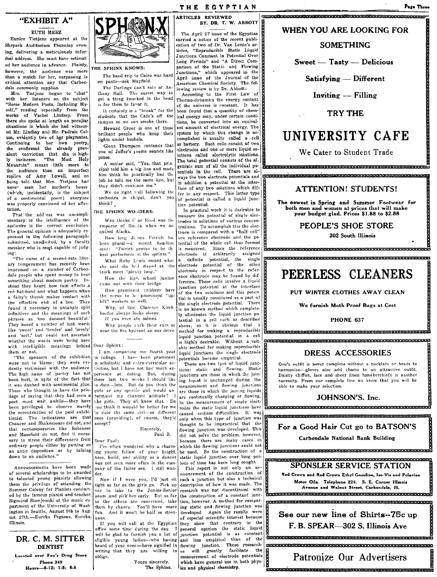## "EXHIBIT A"

#### RUTH MERZ

Eunice Tietjens appeared at the Shrvock Auditorium Thursday evening, delivering a meticulously inforrhal address. She must have estimated her audience in advance. Plainly,  $THE$  SPHINX KNOWS: however, the audience was more than a match for her, surpassing in critical attention any that Carbondale commonly supplies.

Mrs. Tietjens began to "chat" with her listeners on ihe subject "Some Modern Poets, Including Myself," reading especially from the works of Vachel Lindsey. From there she spoke at length on peculiar situations in which she had witnessed Mr. Lindsay and Mr. Padraic Colum, evidently two of her playmates Continuing to her own poetry,<br>she confirmed the already prevalent conviction that she is highly insincere. "The Most Holy Mountuin" meant little more to the audience than an imperfect replica of Amy Lowell, and on<br>being told that Mrs. Tietjens had never seen her mother's house (which, incidentally, is the subject of a sentimental poem) everyone was properly convinced of her affec-<br>tation.

tion. That the add ess was uncompli-  $\begin{bmatrix} \text{THE SPHINK WO} & \text{HDERS:} \end{bmatrix}$ mentary to the intelligence of the<br>audience is the correct conclusion. The general opinion is adequately expressed in the following paragraph: submitted, unsolicited, by a faculty member who is most capable of judg-

ing: "The curse of a second-rate literary temperament has recently been impressed on a number of Carhondale people who spent money to hear something about modern poetry. Instead they heard how rain effects a red hat-band and what happens when a fairy's thumb makes contact with the effective end of a bee. They found it necessary to untangle split infinitives and the meanings of such phrases as 'too damned beautiful. They heard a number of lush words like 'sweet' and 'tender' and 'lovely' and 'sott,' but could not ascertain whether the words were being used with intelligible meanings behind them or not.

I'The sponsors of the exhibition were not to blame; they were evidently victimized with the audience. The high name of poetry has not been hurt, in spite of the fact that it was daubed with sentimental glue. Those who thought to have the privilege of saying that they had seen a poet must wait awhile-they have been privileged to observe merely the eccentricities of the paid exhibitionist. The indications are that Chaucer and Shakespeare did not, and that contemporaries like Robinson and Masefield do not, find it necessary to stress their differences from ordinary people either by putting on an antic disposition or by talking down to an audience."

Announcements have been made of several scholarships to be awarded to talented young pianists allowing them the privilege of attending the Summer Colony for Pianists conducted by the famous pianist and teacher, Sigmund Stowjowski at the music department of the University of Wash· ington in Seattle, August 9th to August 27th.-Eureka Pegasus, Eureka, [Ilinois.

#### DR. C. M. SITTER DENTIST

Located over Fox's Drug Store Phone 349 HO\lr.-8~12; 1-6; 8~8



The band trip to Cairo was hard on pants-ask Mayfreld.

The Darlings don't rate at Anthony Hall. The surest way to get a thing knocked in the head is for them to favor it.

It certainly is a "break" for the students that the Cafe's off the campus so we can smoke there.

Howard Greer is one of these brilliant people who keep their lights under bushels.

Glenn Thompson contends that one of Jeffer's poems sounds like prose.

A senior said, "Yes, that prin cipal told him a big line and made him think he plactically had the job he told me the same line, but they didn't convince me."

We do right well following the orchestra in ch.lpel, don't you think?

Who thinks C ar Reed was the emperor of Russia when we acquired Alaska.

been plural-a recent headline<br>said: "Feirich proves to be th

How the high school juniors

in college. I have been prominent potentials become empirical.<br>  $\begin{bmatrix} \n\text{n} \n\end{bmatrix}$  is scholastic and extra-curricular ac-<br>  $\begin{bmatrix} \n\text{There are two types of liquid junctions} \\
\text{There are two types of liquid junctions}\n\end{bmatrix}$ n scholastic and extra-curricular ac- There are two tyes of liquid junc-<br>tivities, but I have not had much ex- tions: static and flowing. Static<br>perience at dating. But, during junctions are those in which the jointhese last two weeks I should like ing liquid is unchanged during the to date—lots. But do you think the  $\frac{1}{2}$  maximum and flowing junctions to date--lots. But do you think the measurement and flowing junctions girls or any specific girl would un-<br>see in which the joining liquids girls or any specific girl would un are those in which the joining liquids derstand my changed attitude?  $1\frac{1}{2}$  are continually changing or flowing. derstand my changed attitude?  $1\left|\frac{1}{1}r\right|$  continually changing or flowing.<br>like girls. They all know that. Do  $\left|\frac{1}{1}r\right|$  the measurement of single electlike girls. They all know that. Do  $\begin{bmatrix} \text{In the measurement of single elect-  
out think it would be better for me **nodes the static liquid functions have**$ ou think it wouuld be better for me  $_{nodes}$  the static liquid junctions have to date the same girl—or different  $_{cases}$  endless difficulties. It was

I've often wondered why a charm ing young fellow of your height, nose, build, and ability as a dancer was not *seen* more often in the company of the fairer sex. I still wonder.

Now if I were you, I'd just sit tight as far as the girls go. Pick up one to take to the Junior-Senior prom ,and pick her early. But as far as the others are concerned, take<br>them by chance. You'll have more fun. And it won't be half so strenuous.

If you will call at the Egyptian office some time during the day. I will be glad to furnish you a list of eligible young ladies-who having heard of your need-have signified in writing that they are willing to oblige.

> Yours sincerely, The Sphinx.

TH£ EQVPTIAN ARTICLES REVIEWED BY. DR. T. W. ABBOTT

The April 27 issue of the Egyptian carried a notice of the recent publication of two of Dr. Van Lente's articles, "Reproducible Static Liquid Junctions Constant in Potential Over Long Periods" and "A Direct Comparison of the Static an4 Flowing Junctions," which appeared in the April issue of the Journal of the American Chemical Society. The following review is by Dr. Abbott:

According to the First Law of Thermo-dynamics the energy content of the universe is constant. It has been found that a quantity of chemical energy may, under certain conditions, be converted into an equivalent amount of electrical energy. The system by which this change is accomplished is usually called a cell or battery. Such cells consist of two electrodes and one vr more liquid solutions called electrolytic solutions. The total potential consists of the algebraic sum of all the individual pogebraic Bum of aU the individual po- 1E:a:s:a:amClElmImIa::a:sa:a:aClElCIEII:8:la:m:a:s:a:amClElmIa:u:a::a:s:a:a:&:llClElmIii tentials in the cell. There are al-<br>ways the two electrode potentials and ECIENICIEIS: III: ECIENICIEI is and III: III: III: III: III: III: III: I in addition a potential at the interface of any two solutions which differ in any respect. This latter type<br>of potential is called a liquid junction potential.

In practical work it is desirable to  $\frac{1}{2}$ measure the potential of single electrodes in solutions of various concentrations. To accomplish this the electrode is compared with a "half cell" How long J<sub>E</sub> nes Feirich ha. ore reference electrode and the po-<br>en plural—a recent headline tential of the whole cell thus formed said: "Feirich proves to be the is measured. Since the reference best performers in the sprints." electrode is arbitrarily assigned structures user the potential, the single parameters of the community of the single parameters of the single parameters of the single parameters of the single parameters of the single parameters of the single parameters of she suid she h; I stayed at the electrode potential of the other track meet "plenty long," electrode in respect to the refer-<br>ence electrode may be found by dif-How the high school juniors call the extended came out with their bridge. came out with their bridge.<br>How prominent cribbers have junction potential at the interface<br>the nerve to be prominent "up-<br>of the two solutions and this port of of the two solutions and this potenthe nerve to be prominent "up-<br>lift" workers as well.<br>the simple plattack potential. There  $\mu$  workers as well.<br>Why, of late. Clarence Kirch is no known method which complete-Why, of late. Clarence Kirch is no known method which complete-<br>hoefer always looks sleepy.<br> $\begin{bmatrix} \mathbf{w} \end{bmatrix}$  we eliminates the liquid junction po- $\begin{array}{c|c|c|c|c} \text{before} & \text{always looks sleepy.} & \text{by eliminates the liquid junction point.} \end{array}$ If you ever ate salomi.<br>Why people jark their cars so above, so it is obvious that a Why people jurk their cars so above, so it is obvious that a near the fire hydrant on our drive. method for making a reproducible method for making a reproducible<br>liquid junction potential in a cell is highly desirable. Without a suit- CEREBRETREER ERECTORED EXECUTIVE EXECUTIVE TO THE SECOND MARKET RESERVED TO Dear Sphinx:<br>able method for making reproducible<br>I am compteting my fourth year  $\lim_{\text{initial}}$  intriductions the single electrode liquid junctions the single electrode potentials become empirical.

to due the same girl—or different caused endless difficulties. It was proposed the same girl ones (providing), of course, they'd only when this type of junction was providing), of course, they'd play the being practical t Sincerely, thought to be impractical that the  $\frac{1}{100}$  **For a Good Hair Cut go to BATSON'S**<br>Paul B. did not solve the problem, however, Dear Paul:<br>
Paul B. did not solve the problem, nowever,  $\begin{bmatrix} 1 & 0 & 0 \\ 0 & 0 & 0 \\ 0 & 0 & 0 \\ \end{bmatrix}$  Carbondale National Bank Building<br>
I've often wondered why a charm-<br>
ing young fellow of your height, be used. So the const because there are many cases in which the film is construction of a **the figure is seen and a time is a time in the construction** of a time is a time in the set of the set of the construction of a time is a time in the set of the set of the set of the se static liquid junction over long per-  $\left| \frac{\text{eff}}{\text{R}} \right|$   $\leq$ DONICI FD CFDVICT: OF ALITY CRAL FLAN nouncement of the construction of

such a junction but also a technical description of how it was made. The research was not discontinued with the construction of a constant junction, however. A method for compar· ing static and flowing junction was developed. Again the results were of especial scientific interest because they show that contrary to the general opinion the static liquid junction potential is as constant and less empirical than of the flowing junction. These research-<br>es will greatly facilitate the  $es$  will greatly measurement of electrode potentials which have general use in both physics and physical chemistry.

#### WHEN yOU ARE LOOKING FOR

<sup>9</sup>**•** <sup>e</sup>+&99 eesg <sup>p</sup>

#### SOMETHING

Sweet - Tasty - Delicious

Satisfying - Different

Inviting - Filling

#### TRY THE

# UNIVERSITY CAFE

We Cater to Student Trade

## ATTENTION! STUDENTS!

The newest in Spring and Summer Footwear for both men and women at prices that will make your budget glad. Prices \$1.88 to \$2.88

#### PEOPLE'S SHOE STORE

202 South Illinois

pap HP-HHP9H-YPHY9HPHPPH Bp.

# PEERLESS CLEANERS

PUT WINTER CLOTHES AWAY CLEAN

We furnish Moth Proof Bags at Cast

#### PHONE 637 <u> Markarenderder rockförendanden banden av den der den banden av den standa</u>

#### DRESS ACCESSORIES

One's outfit is never complete without a necklace or beads to harmonize-gloves also add charm to an attractive outfit. Dainty chiffon, lace and sheer linen handkerchiefs is another necessity. From our complete line We know that you will be able to make your selection.

#### JOHNSON'S. Inc.

#### KKHBHHhHHHHhHP hRdS 6HHHHH66tiHi

### This report is not only an an- $\frac{1}{16}$  SPONSLER SERVICE STATION

Red Crown and Red Crown Ethyl Gasoline, Iso-Vis and Polarine Motor Oils. Telephone 224. S. E. Corner Illinois B<br>Avenue end Walnut Street, Carbondale, Ill.<br>Representationers averagement internationale enternationers

FREE SECRET SERVICE SERVICE SERVICE SERVICE SERVICE SERVICE SERVICE SERVICE SERVICE SERVICE SERVICE SERVICE SERVICE SERVICE SERVICE SERVICE SERVICE SERVICE SERVICE SERVICE SERVICE SERVICE SERVICE SERVICE SERVICE SERVICE SE See our new line of Shirts--7Sc up F. B. SPEAR-302 S. Illinois Ave

j<br>Jeensesses

IXe& Patronize Our Advertisers

'PS1IHM **•** 

pap H!i&S pap



Page Thre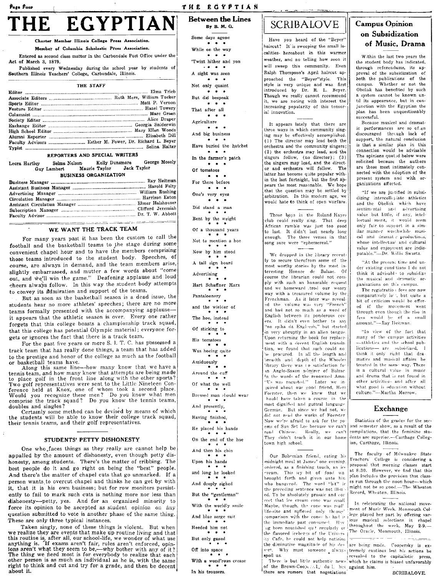# Page Four EGYPTIAN

#### Charter Member Illinois College Press Association.

#### Member of Columbia Scholastic Press Association.

Entered as second class matter in the Carbondale Post Office under the Act of March 3, 1879.

Published every Wednesday during the school year by students of Southern Illinois Teachers' College, Carbondale, Illinois.

THE STAFF

| Faculty Advisors  Esther M. Power, Dr. Richard L. Beyer |
|---------------------------------------------------------|
|                                                         |
|                                                         |

#### REPORTERS AND SPECIAL WRITERS

|                              | Leora Hartley | Guy Lambert | Selma Nelson<br>Maurie Taylor |  | Kelly Dunsmore | George Mosely<br>Jack Taylor |  |  |
|------------------------------|---------------|-------------|-------------------------------|--|----------------|------------------------------|--|--|
| <b>BUSINESS ORGANIZATION</b> |               |             |                               |  |                |                              |  |  |

#### WE WANT THE TRACK TEAM

For many years past it has been the custom to call the football and the basketball teams to the stage during some convenient chapel hour and to have the members comprising those teams introduced to the student body. Speeches, of course, are always in demand, and the team members arise, slightly embarrassed, and mutter a few words about "come out, and we'll win the game." Deafening applause and loud cheers always follow. In this way the student body attempts to convey its admiration and support of the teams.

But as soon as the basketball season is a dead issue, the students hear no more athletes' speeches; there are no more teams formally presented with the accompanying applauseit appears that the athletic season is over. Every one rather forgets that this college boasts a championship track squad, that this college has potential Olympic material; everyone forgets or ignores the fact that there is a track team.

For the past five years or more S. I. T. C. has possessed a track team that has really done things, a team that has added to the prestige and honor of the college as much as the football or basketball teams have.

Along this same line---how many know that we have a tennis team, and how many know that attempts are being made tennis team, and now many know that attempts are being made<br>to place golf in the front line along with the other sports?<br>Two golf representatives were sent to the Little Nineteen Con-<br>ference held at Knox, one of whom took

Certainly some method can be devised by means of which the students will be able to know their college track squad, their tennis teams, and their golf representatives.

#### STUDENTS' PETTY DISHONESTY

÷,

One who faces things as they really are cannot help be appalled by the amount of dishonesty, even though petty dishonesty, among students. There's the matter of cribbing. The best people do it and go right on being the "best" people. And there's the matter of chapel cuts that go unmarked. If a person wants to overcut chapel and thinks he can get by with it, that it is his own business; but for row monitors persistently to fail to mark such cuts is nothing more nor less than dishonesty-petty, yes. And for an organized minority to force its opinion to be accepted as student opinion on any question submitted to vote is another phase of the same thing. These are only three typical instances.

Taken singly, none of these things is violent. But when we realize they are events that make up routine living and that this routine is, after all, our school-life, we wonder of what use<br>anything is. If exams aren't fair, rules aren't enforced, opin-<br>ions aren't what they seem to be,—why bother with any of it? For this area. What they seem to be,—why content with any of it?<br>The thing we need most is for everybody to realize that each<br>other person is as much an individual as he is, with the same right to think and cut and try for a grade, and then be decent about it.

**Between the Lines** By B. M. G. Some days agone  $\bullet$   $\bullet$ While on the way  $\ddot{\phantom{a}}$ 'Twixt hither and yon  $\ddot{\phantom{1}}$ A sight was seen  $\cdots$ Not only quaint  $\sim$   $\sim$ But did bespeak  $\cdot$   $\cdot$ That after all  $\bullet \quad \bullet \quad \bullet$ Agriculture  $\bullet$   $\bullet$   $\bullet$ And big business  $\cdots$ Have buried the hatchet  $\cdots$ In the farmer's patch  $\bullet \quad \bullet \quad \bullet$ Of tomatoes . . . For there before  $\cdots$ One's very eyes Did stand a man Bent by the weight Of a thousand years Not to mention a hoe Now by him stood  $\bullet$ A tail sign board Advertising - 4 Hart Schaffner Marx Pantaloonery and the wielder of The hoe, instead Of sticking to His tomatoes Was hoeing quite Assiduously Around the cuff Of what the well Dressed man should wear And presently, Having finished, He placed his hands On the end of the hoe And then his chin Upon his hands and long he looked

THE EGYPTIAN

And deeply sighed But the "gentleman" With the worldly smile And blue serge suit Heeded him not But only gazed Off into space With a wond'rous crease

#### In his trousers.

# **SCRIBALOVE**

Have you heard of the "Beyer" haircut? It is sweeping the small localities- hereabout in this warmer weather, and no telling how soon it will sweep this community. Even Ralph Thompson's April haircut approached the "Beyer"style. This style is very unique and was first introduced by Dr. R. L. Beyer. Though we really cannot recommend it, we are noting with interest the increasing popularity of this tonsorial innovation.

It appears lately that there are three ways in which community singing may be effectively accomplished. (1) The director may lead both the orchestra and the community singers; (2) the orchestra may lead, and the singers follow, (no director); (3) the singers may lead, and the director and orchestra will follow. The latter has become quite popular within the last fortnight, but the first appears the most reasonable. We hope that the question may be settled by arbitration. In this modern age, we would hate to think of open warfare.

Those boys in the Roland Hayes club could really sing. That deep African rumble was just too good to last. It didn't last nearly long<br>enough. The three verses in that song sure were "ephemereal."

We dropped in the library recent-Iv to secure therefrom some of the most worthy stories by the most interesting Honore de Balzac. Of course the librarian could not comply with such an honorable request and we homeward .trod our weary way with a treasured volume by the Frenchman. As it later was revealed the volume was very "French" and had not so much as a word of English between its ponderous covers. It didn't even bother to say "no spika da Engleesh," but started in very abruptly in an alien tongue.<br>Upon returning the book for replacement with a decent English translation, we found that such could no be procured. In all the length and breadth and depth of the Wheeler 'ibrary there was 10 satisfaction foin Anglo-Saxon admirer of Balzac In the words of the renowned Amo.<br>"Us was regusted." Later we injuired about our good friend, Hert Foerster, then we knew that we hould have taken a course in the most dignified and guttral language German. But since we had not, we did not read the works of Foerster Now we're afraid to ask for the no ems of Sun Set Lee because we can't read Chinese. Really, we can't They didn't teach it in our home town high school.

Our Bohemian friend, eating his midnight meal at James' one evening. ordered, as a finishing touch, an ice cream. This icy bit of food wa brought forth and given unto hin who hungered. The word "bit" ir the preceding sentence was not ill-ued. To be absolutely prosaic and cor rect that ice cream cone was small Maybe, though, the cone was real! life-size and suffered only through comparison with the cones he had it the immediate past consumed. Havag been nourished quit regularly or the flavored icebergs of the Univers ity Cafe, he could not help noticine the diminutive magnitude of his des Why must someone always enet. spoil us. There is but little authentic news

of the Brown-Cooperak, du 1, but against him. there are rumors that negotiations

## **Campus Opinion** on Subsidization of Music, Drama

Within the last two years the the student body has indicated. through referendums, its approval of the subsidization of both the publications of the Whether or not the campus. Obelisk has benefited by such a system cannot be known until its appearance, but in conjunction with the Egyptian the plan has been unquestionably .<br>successful.

Because musical and dramatic performances are so of.en discouraged through lack of support, the natural conclusion is that a similar plan in this connection would be advisable The opinions quoted below were solicited because the authors are those most intimately connected with the adoption of the present system and with organizations affected.

"If we are justified in subsi- $\text{dizing}$  intercollegiate athletics and the Obelisk which have sentimental and advertising value but little, if any, intellectual merit, it would seem only fair to support in a similar manner worthwhile musical and dramate productions, whose intellectual and cultural value and enjoyment are indisputable."-Dr. Willis Swartz.

"At the present time and under existing cond tions I do not think it advisabl to subsidize the musical and dramatic organizations on this campus.

The registration fees are now comparatively low, but quite a bit of criticism would be offered if the movement went through even though the rise in fees would be of a small amount."-Ray Heitman.

"In view of the fact that many of the campus activities --athletics and the school publications- are subsidized, I think it only right that dramatics and musical affairs be treated in the same way. There is a cultural value in music and drama that is not found in other activities- and after all what good is education without culture."-Martha Morrow.

#### Exchange

Statistics of the grades for the second semester show, as a result of the compilations, that the feminine students are superior.-Carthage Collegian, Carthage, Illinois.

The faculty of Milwaukee State Teachers' College is considering a proposal that morning classes start at 8:30. However, we find that this plan includes the provision that classes run through the noon hour-which might not be so good.-The Wheaton Record, Wheaton, Illinois.

In celebrating the national movement of Music Week, Monmouth College played her part by offering varjous musical selections in chapel throughout the week, May 2-9.-The Oracle, Monmouth, Illinois.  $\tau=\frac{1}{2} \sqrt{\omega_{\rm{eff}}}$ 

are being made. Coopersky is extremely cautious lest his actions be revealed to the capitalistic press, which he claims is biased unfavorably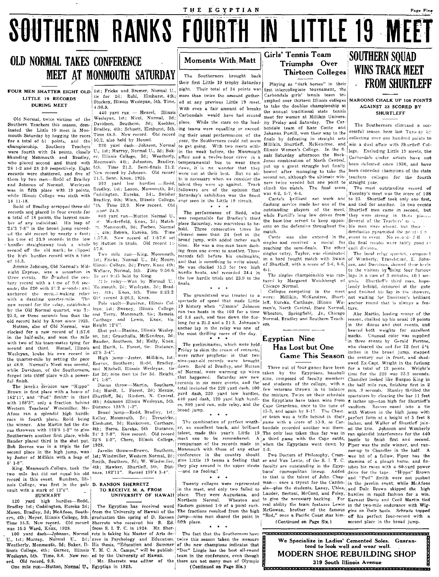# **OLD NORMAL TAKES CONFERENCE** MEET AT MONMOUTH SATURDAY

LITTLE 19 RECORDS **DURING MEET** 

Old Normal, twice victims of the Southern Teachers this season, dominated the Little 19 meet in Monmouth Saturday by hogging the races for a total of 51 points, and the championship. Southern Teachers were fourth with 24 points, closely hounding Monmouth and Bradley, er, Illinois College, 3d; Weatherly, who placed second and third with 28 1-2 and 28 2-9 respectively. Eight records were shattered, and five of them by two men-Redd of Bradley and Johnson of Normal. Wesleyan was in fifth place with 19 points, while Illinois College was sixth with 18 11-18.

Redd of Bradley scrapped three old records and placed in four events for a total of 18 points, the largest number of any individual. His leap of 24'3 7-8" in the broad jump exceedand the old record by nearly a foot: his time of 23.9 seconds in the low hurdles straightaway took a whole second off the old mark; he clipped 57.8. the high hurdles record with a time of  $15.3$ .

Jimmie Johnson, Old Normal's Midnight Express, was a sensation in<br>three events. He strashed the century, record with a time of 9.6 seconds; the 220 with 21.2 seconds; and anchored the recold-making relay with a dazzling quarter-mile. The new record for the relay, established by the Old Normal quartet, was 3:-23.2, or three seconds less than the old record held by Knox since 1925.

Hutton, also of Old Normal, was clocked for a new record of 1:57.6 in the half-mile, and won the mile with two of his team-mates tying for second and third. Hensel, Illinois Wesleyan, broke his own record in the quarter-mile by setting the pace at 48.9. Normal's Nicol was second, Reeves, while Davidson, of the Southerners, forged into third place with a powerful finish.

with 168'3", only a fraction behind<br>Western Teachers' Windmiller. Mc-Afoos ran a splendid high hurdle race in fourth place, Redd being<br>the winner. Abe Martin led the discus throwers with 125'5 1-2" to give Southerners another first place, while 24' 3 7-8". Bauder placed third in the shot put. Bob Reeves was in a triple tie for 1928. second place in the high jump, won by Jester of Millikin with a leap of 1st; Windmiller, Western Normal, 2d;  $6'$  1-8".

King, Monmouth College, took the two mile but did not equal his old ance, 182'11". Record 199'4 3-4". record in this event. Bundren, Illinois College, was first in the pole D. RANSON SHERRETZ vault with a mark of 12'4". SUMMARY

120 yard high hurdles-Redd, Bradley 1st; Coddington, Eureka 2d; Mason, Bradley, 3d; McAfoos, South-

was 15.5 Ward, Knox, 1928. ord. Old record, 9.8.

One mile run-Hutton, Normal U., Egyptian in 1923.

FOUR MEN SHATTER EIGHT OLD 1st; Fricke and Bremer, Normal U., tie for 2d; Ruhl, Elmhurst 4th; Stuckey, Illinois Wesleyan, 5th. Time,  $4:30.9.$ 

440 yard run - Hensel, Illinois Wesleyan, 1st; Nicol, Normal, 2d;<br>Davidson, Southern, 3d; Koehler, Bradley, 4th; Schuett, Elmhurst, 5th. ing teams were equalling or exceed-Time 48.9. New record. Old record 50.2. also held by Hensel.

220 yard dash-Johnson, Normal U., 1st; Murray, Normal U., 2d; Bak-Monmouth 4th; Johnston, Bradley,  $5<sub>th</sub>$ New record by Johnson. Old record 21.5, Senn, Knox, 1925.

220 yard low hurdles -Redd, Bradley, 1st; Laxon, Monmouth, 2d; followers are of the opinion that Coddington, Eureka, 3d; Swisher Saturday's exhibition was the finest Bradley, 4th; Winn, Illinois College, <sup>5th</sup>. Time 23.9. New record. Old  $zeror<sup>4</sup>$  24.9.

880 yard run-Hutton Normal U., Westerfield, Knox, 2d; Matchtt. Monmouth, 3d; Forbes, Normal 4th; Brown, Eureka, 5th. Time<br>7.8. New record of 1:57.6 set  $1:57.8.$ by Hutton in trials. Old record 1:-

Two mile run-King, Monmouth, 1st; Fricke, Normal U., 2d; Moore, Illinois College, 3d; Frary, Knox 4th; Wallace, Normal, 5th. Time 9:56.6.<br>Re ord 9:45 held by King.

Mle relay-Won by Normal U.; Monmouth, 2d; Wesleyan, 3d; Brad 4th; Knox, 5th. Time 3:23.2. iev. Old record 3:26.2, Knox.

Pole vault-Bundren, Illinois College, 1st; Sweney, Illinois College, and Terry, Monmouth, tie; Remeis, and Lewis, Knox, tie. Carthage Height 12'4".

Shot put-Blazine, Illinois Wesley an, 1st; Grauchalla, McKendree, 2d; Bauder, Southern, 3d; Holly, Knox, and Harilt, L. Forest, tie. Distance,  $42'5$  3-4".

High jump-Jester, Millikin, 1st; and Mitchell, Illinois Wesleyan, tie  $6'1 \t1-8''$ .

4th; Adamson Illinois Wesleyan, 5th. Distance 125'5 1-2".

Broad jump-Redd, Bradley, 1st; Kelley, Monmouth, 2d; Dreusicke, Elmhurst, 3d; Hankerson, Carthage, 4th; Barra, Eureka, 5th **Distance** New record. Old record 23'5 1-2", Chere, Illinois College,

Javelin throw-Brown, Southern, Smith, Southern, 3d; W. Windmiller, 4th; Hawker, Shurtleff, 5th. Dist-

#### TO RECEIVE M. A. FROM UNIVERSITY OF HAWAII

The Egyptian has received word from the University of Hawaii of the The fractions resulted from the high ern, 4th; Meyer, Illinois College, 5th. graduation this spring of D. Ranson jump-nine men shared the point in Time 15.3. New record. Old record Sherretz who received his B. Ed. fifth place. from S. I. T. C. in 1924. Mr. Sher-100 yard dash-Johnson, Normal retz is taking his Master of Arts de-U., 1st; Murray, Normal U., 2d; gree in Psychology and Education. twice this season taken the measure Weatherly, Monmouth, 3d; Baker, Il- His thesis, "Education and Summer of the new champions indicates that

### Moments With Matt

THE EGYPTIAN

SOUTHERN RANKS FOURTH IN LITTLE 19 MEET

The Southerners brought back their first Little 19 tróphy Saturday night. Their total of 24 points was more than twice the amount gathered at any previous Little 19 meet. With even a fair amount of breaks Carbondale would have had second place. While the stars on the leading their usual performances of the year, the Southerners could not seem to get going. With two meets within the week before, the Monmouth affair and a twelve-hour drive in a temperamental bus to wear them Time 21.3. Semi-finals 21.2. down, it is no wonder that they were not at their best. But no alibi is necessary when we consider the talent they were up against. Track ever seen in the Little 19 circuit.

 $\ddot{x}$   $\ddot{x}$   $\ddot{x}$ 

The performance of Redd, who was responsible for Bradley's third place Saturday, was marvelous to behold. Three consecutive times he cleared more than 24 feet in the broad jump, with added inches each time. He was a one-man team dashing from one event to another. Three records fell before his onslaughts. and that is something to write about. He was clocked 15.3 for two high hurdle heats, and recorded 24.4 in the low hurdle trials and 23.9 in the finals.

#### $\ddot{x}$   $\ddot{x}$   $\ddot{x}$

The grandstand was treated to a ran two heats in the 100 for a time of 9.6 each, and tore down the furlong for a 21.2 and a 21.3. Johnson's anchor lap in the relay was one of the most thrilling races of the day.

The preliminaries, which were held Friday to skim the cream of entrants, were rather prophetic- in that two Southern; Redd, Bradley, inne-year-old records were brought down. Redd of Bradley, and Hutton for 2d; nine men tie for 3d. Height, of Normal, were warming up when that happened. Saturday saw new nine, composed of faculty members Discus throw-Martin, Southern, records in six more events, and the The javelia division saw "Hippo" Discus throw—martin, Southern, which is the college of the college, with a Brown in first place with a heave of 1st; Hardt, L. Forest, 2d; Menzie, total included the 220 yard dash, 100 few es, 880 yard run, mile relay, and the broad jump.

The combination of perfect weather, an excellent track, and brilliant bondale recorded another win there. talent, made this year's Little 19 The only loss taken thus far was in meet one to be remembered. A a third game with the Cape outfit, hustle to finish first and second.<br>comparison of the records made in when the Egyptians went down by Piper was the mile winner, and runmeet one to be remembered. Monmouth with those of any other 5-2 conference in the country should give Little 19 teams a feeling that er and Van Lente, of the S. I. T. C. stamina of a plough horse, and fin-

 $\star$   $\star$ 

in the meet, and only two failed to place. They were Augustana, and Northern Normal. Wheaton and Eastern gainned 1-9 of a point each.

The fact that the Southerners have linois College, 4th; Garner, Illinois Y. M. C. A. Camps," will be publish. "Doc" Lingle has the best all-round<br>Wesleyan, 5th. Time, 9.6. New rec-ed by the University of Hawaii. team in the conference, even though Mr. Sherretz was editor of the there are not many men of Olympic<br>gyptian in 1923. (Continued on Page Six.)

### Girls' Tennis Team Triumphs Over Thirteen Colleges

Playing as "dark horses" in their first intercollegiate tournament, the Carbondale girls' tennis team triumphed over thirteen Illinois colleges to take the doubles championship at the annual traditional state tennis meet for women at Millikin University Friday and Saturday. The Car bondale team of Kate Conte and Johanna Purtill, won their way to the finals by defeating in straight sets Millikin, Shurtleff, McKendree, and<br>Illinois Women's College. In the finals Saturday afternoon the Bock-Jones combination of North Central, put up a great struggle but finally bowed after managing to take the second set, although the ultimate winners twice needed but one point to straight year. clinch the match. The final score was 6-2, 5-7, 6-4.

Conte's brilliant flashing service made her one of the and tied for another. In two events outstanding players of the meet, while Purtill's long low drives from the base-line served to keep oppon- Several of the Teachers'  $n_1$ ents on the defensive throughout the ble men were absent, but their match.

 $\mbox{Conte}$ singles and received a medal for reaching the semi-finals. The other each division. singles entry, Taylor, was eliminated in a hard fought match with Swain of Shurtleff, with a score of 3-6, 8-6,  $6 - 1.$ 

The singles championship was captured by Margaret Weichbrogt of Chicago Normal.

Colleges competing in the meet were: Millikin, McKendree, Shurt- not waiting for Davidson's brilliant spectacle of speed that made Little leff, Eureka, Carthage, Illinois Wo-19 history when "Jimmie' Johnson men's, North Central, State Normal, Wheaton, Springfield, Jr., Chicago Normal, Bradley and Southern Teachers

## Egyptian Nine Has Lost but One

Three out of four games have been the mixture. Twice on their schedule the Egyntians have taken wins from Cape Girardeau, once to the tune of 15-3, and again by 8-17. The Chestgame with a score of 10-9, so Car-

Two Doctors of Philosophy, Cram-(Continued on Page Six.)

MAROONS CHALK UP 108 POINTS AGAINST 23 SCORED BY **SHURTLEFF** 

**FROM SHURTLEFF** 

**SOUTHERN SOUAD** 

**WINS TRACK MEET** 

The Southerners climaxed a successful season here last Tues av by collecting over one hundred points to win a dual affair with Shurtleff College. Excluding Little 19 meets, the Carbondale cinder artists have not been defeated since 1930, and have been conceded champions of the state teachers colleges for the fourth

The most outstanding record of Tuesday's meet was the score of 108 net work and to 23. Shurtleff took only one first, Shurtleff men came in second, but they were strong in third places

derstudies pyramided the points i.e was also entered in the event to event. No records fall the final results were fairly good in

The local relay quartet, composed of Wimberly, Travelstead, E. Johnson, and Davidson, showed their heels to the visitors by doing four furious laps in a sum of 3 minutes, 40.1 seconds. Shurtleff's third man, hopelessly behind, detoured at the gate and finished his lap in the showers, anchor round that is always a feature.

Abe Martin, leading scorer of the season, chalked up his usual 10 points in the discus and shot events, and heaved both weights for excellent marks. Unusual color was supplied in three events by Gerald Perrine. who cleared the sod for 22 feet 51% inches in the broad jump, stepped Game This Season the century out in front, and shadowed Ex-Capt. Wright in the furlong for a total of 13 points. Wright's taken by the Egyptians, baseball time for the 220 was 23.3 seconds. Chandler looked like Burgoo King in and students of the college, with a the half mile run, finishing first in 2 min. 9 seconds. Stanley thrilled the spectators by clearing the bar 11 feet 6 inches up-too high for Shurtleff's vaulters. Reeves eased into a tie with Watson in the high jump with er team was a trifle behind in their perfect form at a height of 5 feet 8 inches, and Waller of Shurtleff joined the trio. Johnson and Wimberly ran splendid interference for the 440 ner-up to Chandler in the half. A wee bit of a fellow, Piper has the give Little 19 teams a recting theoretical cand can be completed by play around in the upper strata faculty are outstanding in the Egypt ishes his races with a 60-yard power<br>and no fooling! tians' cosmopolitan lineup. Adde to that is the talent of John Chap- and "Pud" Smith were not pushed Twenty colleges were represented man- once a tryout for the Cardin-in the javelin event, while McAfoos als-plus the students, Laney, Uhles, and Dale Brown skipped the high Lauder, Bertoni, McCord, and Foley, hurdles in rapid fashion for a win. to give the necessary backing. For Earnest Davis and Cecil Martin tied real ability the team features Lewis in the two-mile endurance with Wig-McGowan, brother of the famous gins on their heels. Schrade topped "Red," once a Pacific Coast star him- off his perfect four-record with a second place in the broad jump.

> We Specialize in Ladies' Cemented Soles. Guaranteed to look well and wear well. **MODERN SHOE REBUILDING SHOP** 319 South Illinois Avenue .<br>En haden en kommunent en en de en de en de en de en de en de en de en de en de en de en de en de en de en de e